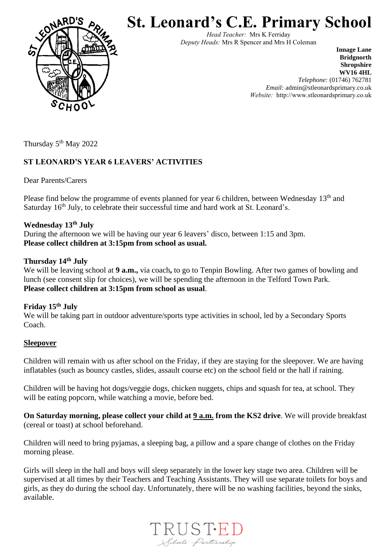

**St. Leonard's C.E. Primary School**

*Head Teacher:* Mrs K Ferriday *Deputy Heads:* Mrs R Spencer and Mrs H Coleman

> **Innage Lane Bridgnorth Shropshire WV16 4HL** *Telephone:* (01746) 762781 *Email:* admin@stleonardsprimary.co.uk *Website:* http://www.stleonardsprimary.co.uk

Thursday 5<sup>th</sup> May 2022

# **ST LEONARD'S YEAR 6 LEAVERS' ACTIVITIES**

Dear Parents/Carers

Please find below the programme of events planned for year 6 children, between Wednesday 13<sup>th</sup> and Saturday  $16<sup>th</sup>$  July, to celebrate their successful time and hard work at St. Leonard's.

## **Wednesday 13th July**

During the afternoon we will be having our year 6 leavers' disco, between 1:15 and 3pm. **Please collect children at 3:15pm from school as usual.** 

### **Thursday 14th July**

We will be leaving school at **9 a.m.**, via coach, to go to Tenpin Bowling. After two games of bowling and lunch (see consent slip for choices), we will be spending the afternoon in the Telford Town Park. **Please collect children at 3:15pm from school as usual**.

### **Friday 15th July**

We will be taking part in outdoor adventure/sports type activities in school, led by a Secondary Sports Coach.

### **Sleepover**

Children will remain with us after school on the Friday, if they are staying for the sleepover. We are having inflatables (such as bouncy castles, slides, assault course etc) on the school field or the hall if raining.

Children will be having hot dogs/veggie dogs, chicken nuggets, chips and squash for tea, at school. They will be eating popcorn, while watching a movie, before bed.

**On Saturday morning, please collect your child at 9 a.m. from the KS2 drive**. We will provide breakfast (cereal or toast) at school beforehand.

Children will need to bring pyjamas, a sleeping bag, a pillow and a spare change of clothes on the Friday morning please.

Girls will sleep in the hall and boys will sleep separately in the lower key stage two area. Children will be supervised at all times by their Teachers and Teaching Assistants. They will use separate toilets for boys and girls, as they do during the school day. Unfortunately, there will be no washing facilities, beyond the sinks, available.